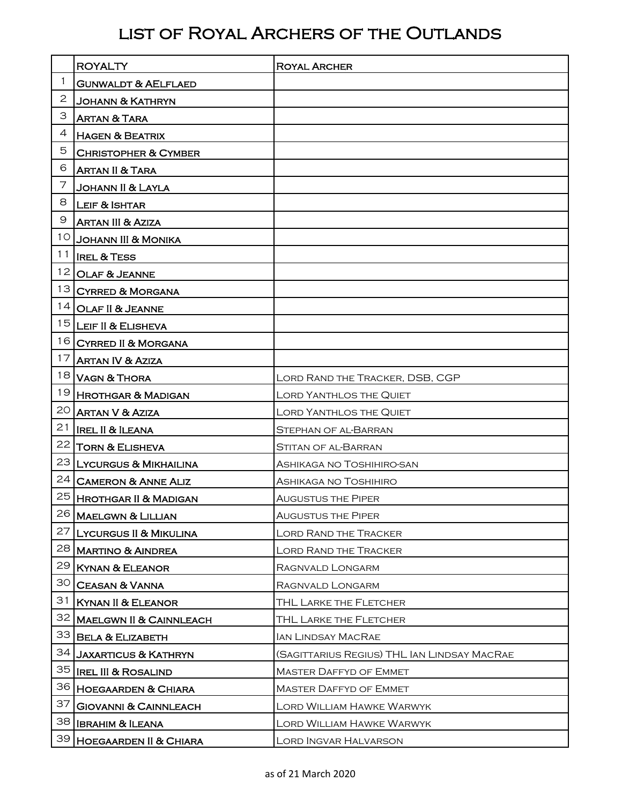## list of Royal Archers of the Outlands

|                 | <b>ROYALTY</b>                     | <b>ROYAL ARCHER</b>                         |
|-----------------|------------------------------------|---------------------------------------------|
| 1               | <b>GUNWALDT &amp; AELFLAED</b>     |                                             |
| $\overline{2}$  | <b>JOHANN &amp; KATHRYN</b>        |                                             |
| З               | <b>ARTAN &amp; TARA</b>            |                                             |
| 4               | <b>HAGEN &amp; BEATRIX</b>         |                                             |
| 5               | <b>CHRISTOPHER &amp; CYMBER</b>    |                                             |
| 6               | <b>ARTAN II &amp; TARA</b>         |                                             |
| 7               | Johann II & Layla                  |                                             |
| 8               | <b>LEIF &amp; ISHTAR</b>           |                                             |
| 9               | <b>ARTAN III &amp; AZIZA</b>       |                                             |
| 10              | <b>JOHANN III &amp; MONIKA</b>     |                                             |
| 11              | <b>IREL &amp; TESS</b>             |                                             |
| 12              | OLAF & JEANNE                      |                                             |
| 13              | <b>CYRRED &amp; MORGANA</b>        |                                             |
| 14              | OLAF II & JEANNE                   |                                             |
|                 | 15 LEIF II & ELISHEVA              |                                             |
|                 | 16 CYRRED II & MORGANA             |                                             |
| 17              | <b>ARTAN IV &amp; AZIZA</b>        |                                             |
|                 | 18 VAGN & THORA                    | LORD RAND THE TRACKER, DSB, CGP             |
|                 | 19 HROTHGAR & MADIGAN              | <b>LORD YANTHLOS THE QUIET</b>              |
| 20 <sub>1</sub> | ARTAN V & AZIZA                    | LORD YANTHLOS THE QUIET                     |
| 21              | <b>IREL II &amp; ILEANA</b>        | STEPHAN OF AL-BARRAN                        |
| 22              | <b>TORN &amp; ELISHEVA</b>         | STITAN OF AL-BARRAN                         |
|                 | 23 LYCURGUS & MIKHAILINA           | ASHIKAGA NO TOSHIHIRO-SAN                   |
| 24              | <b>CAMERON &amp; ANNE ALIZ</b>     | ASHIKAGA NO TOSHIHIRO                       |
|                 | 25 Hrothgar II & Madi <u>gan</u>   | <b>AUGUSTUS THE PIPER</b>                   |
|                 | 26 MAELGWN & LILLIAN               | <b>AUGUSTUS THE PIPER</b>                   |
| 27              | <b>LYCURGUS II &amp; MIKULINA</b>  | <b>LORD RAND THE TRACKER</b>                |
|                 | 28 MARTINO & AINDREA               | <b>LORD RAND THE TRACKER</b>                |
| 29              | KYNAN & ELEANOR                    | RAGNVALD LONGARM                            |
| 30              | <b>CEASAN &amp; VANNA</b>          | RAGNVALD LONGARM                            |
| 31              | <b>KYNAN II &amp; ELEANOR</b>      | THL LARKE THE FLETCHER                      |
| 32              | <b>MAELGWN II &amp; CAINNLEACH</b> | THL LARKE THE FLETCHER                      |
| 33              | <b>BELA &amp; ELIZABETH</b>        | IAN LINDSAY MACRAE                          |
| 34              | <b>JAXARTICUS &amp; KATHRYN</b>    | (SAGITTARIUS REGIUS) THL IAN LINDSAY MACRAE |
|                 | 35   IREL III & ROSALIND           | <b>MASTER DAFFYD OF EMMET</b>               |
|                 | 36 HOEGAARDEN & CHIARA             | <b>MASTER DAFFYD OF EMMET</b>               |
| 37              | <b>GIOVANNI &amp; CAINNLEACH</b>   | Lord William Hawke Warwyk                   |
|                 | 38 IBRAHIM & ILEANA                | Lord William Hawke Warwyk                   |
| 39              | <b>HOEGAARDEN II &amp; CHIARA</b>  | LORD INGVAR HALVARSON                       |